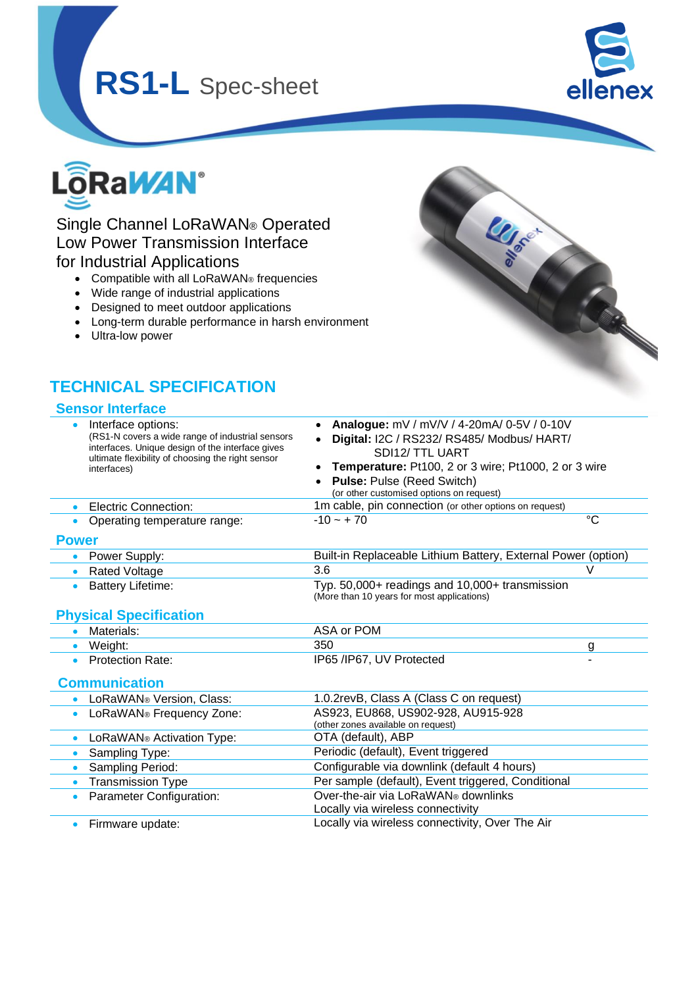# **RS1-L** Spec-sheet



**LLISTED** 



## Single Channel LoRaWAN® Operated Low Power Transmission Interface for Industrial Applications

- Compatible with all LoRaWAN® frequencies
- Wide range of industrial applications
- Designed to meet outdoor applications
- Long-term durable performance in harsh environment
- Ultra-low power

## **TECHNICAL SPECIFICATION**

#### **Sensor Interface**

|              | Interface options:<br>(RS1-N covers a wide range of industrial sensors<br>interfaces. Unique design of the interface gives<br>ultimate flexibility of choosing the right sensor<br>interfaces) | Analogue: mV / mV/V / 4-20mA/ 0-5V / 0-10V<br>Digital: I2C / RS232/ RS485/ Modbus/ HART/<br>SDI12/TTL UART<br>Temperature: Pt100, 2 or 3 wire; Pt1000, 2 or 3 wire<br><b>Pulse: Pulse (Reed Switch)</b><br>(or other customised options on request) |             |  |  |  |  |  |
|--------------|------------------------------------------------------------------------------------------------------------------------------------------------------------------------------------------------|-----------------------------------------------------------------------------------------------------------------------------------------------------------------------------------------------------------------------------------------------------|-------------|--|--|--|--|--|
| $\bullet$    | Electric Connection:                                                                                                                                                                           | 1m cable, pin connection (or other options on request)                                                                                                                                                                                              |             |  |  |  |  |  |
|              | Operating temperature range:                                                                                                                                                                   | $-10 - +70$                                                                                                                                                                                                                                         | $^{\circ}C$ |  |  |  |  |  |
| <b>Power</b> |                                                                                                                                                                                                |                                                                                                                                                                                                                                                     |             |  |  |  |  |  |
| $\bullet$    | Power Supply:                                                                                                                                                                                  | Built-in Replaceable Lithium Battery, External Power (option)                                                                                                                                                                                       |             |  |  |  |  |  |
| $\bullet$    | <b>Rated Voltage</b>                                                                                                                                                                           | 3.6                                                                                                                                                                                                                                                 | V           |  |  |  |  |  |
| $\bullet$    | <b>Battery Lifetime:</b>                                                                                                                                                                       | Typ. 50,000+ readings and 10,000+ transmission<br>(More than 10 years for most applications)                                                                                                                                                        |             |  |  |  |  |  |
|              | <b>Physical Specification</b>                                                                                                                                                                  |                                                                                                                                                                                                                                                     |             |  |  |  |  |  |
|              | Materials:                                                                                                                                                                                     | ASA or POM                                                                                                                                                                                                                                          |             |  |  |  |  |  |
| $\bullet$    | Weight:                                                                                                                                                                                        | 350                                                                                                                                                                                                                                                 | g           |  |  |  |  |  |
| $\bullet$    | <b>Protection Rate:</b>                                                                                                                                                                        | IP65 /IP67, UV Protected                                                                                                                                                                                                                            |             |  |  |  |  |  |
|              | <b>Communication</b>                                                                                                                                                                           |                                                                                                                                                                                                                                                     |             |  |  |  |  |  |
|              | LoRaWAN® Version, Class:                                                                                                                                                                       | 1.0.2revB, Class A (Class C on request)                                                                                                                                                                                                             |             |  |  |  |  |  |
|              | LoRaWAN® Frequency Zone:                                                                                                                                                                       | AS923, EU868, US902-928, AU915-928<br>(other zones available on request)                                                                                                                                                                            |             |  |  |  |  |  |
| $\bullet$    | LoRaWAN® Activation Type:                                                                                                                                                                      | OTA (default), ABP                                                                                                                                                                                                                                  |             |  |  |  |  |  |
| $\bullet$    | Sampling Type:                                                                                                                                                                                 | Periodic (default), Event triggered                                                                                                                                                                                                                 |             |  |  |  |  |  |
| $\bullet$    | Sampling Period:                                                                                                                                                                               | Configurable via downlink (default 4 hours)                                                                                                                                                                                                         |             |  |  |  |  |  |
| $\bullet$    | <b>Transmission Type</b>                                                                                                                                                                       | Per sample (default), Event triggered, Conditional                                                                                                                                                                                                  |             |  |  |  |  |  |
| $\bullet$    | Parameter Configuration:                                                                                                                                                                       | Over-the-air via LoRaWAN® downlinks<br>Locally via wireless connectivity                                                                                                                                                                            |             |  |  |  |  |  |
| $\bullet$    | Firmware update:                                                                                                                                                                               | Locally via wireless connectivity, Over The Air                                                                                                                                                                                                     |             |  |  |  |  |  |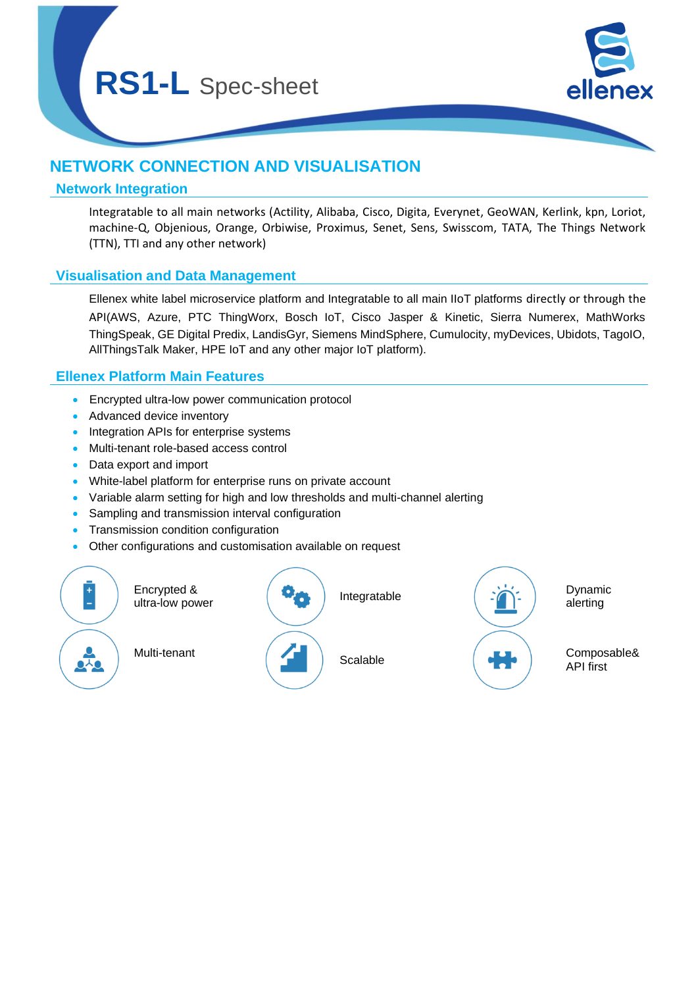

## **NETWORK CONNECTION AND VISUALISATION**

#### **Network Integration**

Integratable to all main networks (Actility, Alibaba, Cisco, Digita, Everynet, GeoWAN, Kerlink, kpn, Loriot, machine-Q, Objenious, Orange, Orbiwise, Proximus, Senet, Sens, Swisscom, TATA, The Things Network (TTN), TTI and any other network)

### **Visualisation and Data Management**

Ellenex white label microservice platform and Integratable to all main IIoT platforms directly or through the API(AWS, Azure, PTC ThingWorx, Bosch IoT, Cisco Jasper & Kinetic, Sierra Numerex, MathWorks ThingSpeak, GE Digital Predix, LandisGyr, Siemens MindSphere, Cumulocity, myDevices, Ubidots, TagoIO, AllThingsTalk Maker, HPE IoT and any other major IoT platform).

### **Ellenex Platform Main Features**

- Encrypted ultra-low power communication protocol
- Advanced device inventory
- Integration APIs for enterprise systems
- Multi-tenant role-based access control
- Data export and import
- White-label platform for enterprise runs on private account
- Variable alarm setting for high and low thresholds and multi-channel alerting
- Sampling and transmission interval configuration
- Transmission condition configuration
- Other configurations and customisation available on request

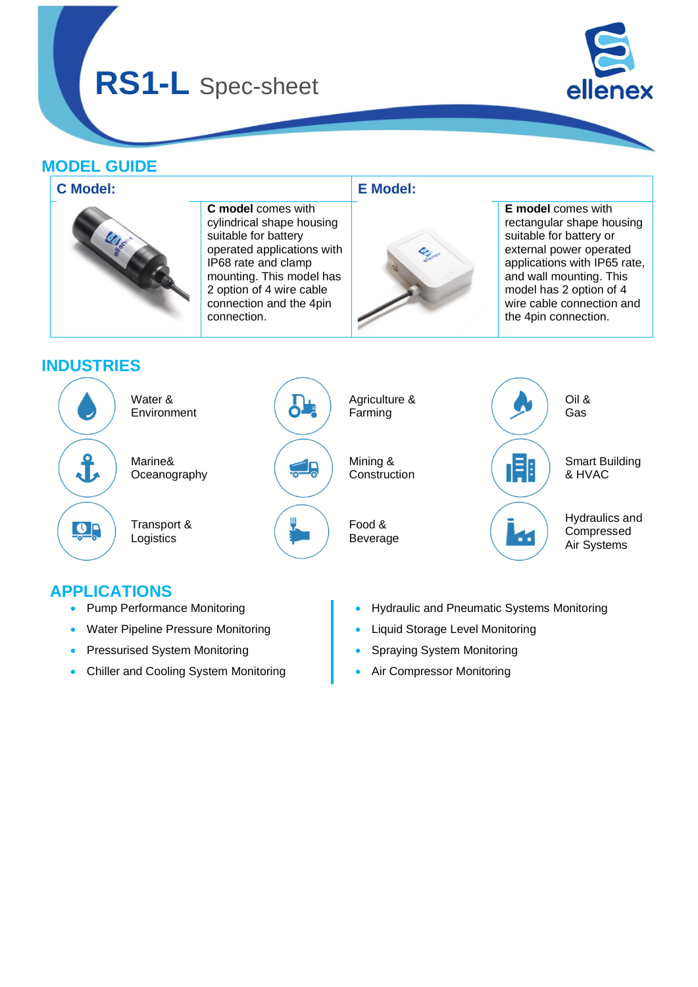**RS1-L** Spec-sheet



## **MODEL GUIDE**



## **APPLICATIONS**

- Pump Performance Monitoring
- Water Pipeline Pressure Monitoring
- Pressurised System Monitoring
- Chiller and Cooling System Monitoring
- Hydraulic and Pneumatic Systems Monitoring
- Liquid Storage Level Monitoring
- Spraying System Monitoring
- Air Compressor Monitoring